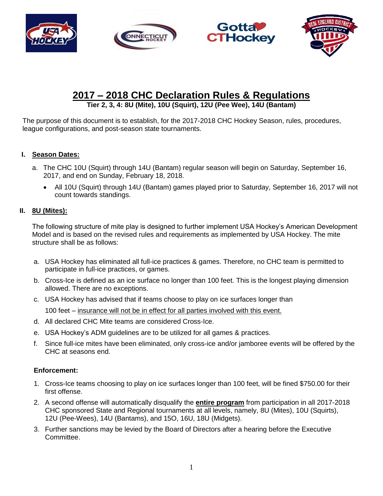







# **2017 – 2018 CHC Declaration Rules & Regulations**

**Tier 2, 3, 4: 8U (Mite), 10U (Squirt), 12U (Pee Wee), 14U (Bantam)**

The purpose of this document is to establish, for the 2017-2018 CHC Hockey Season, rules, procedures, league configurations, and post-season state tournaments.

# **I. Season Dates:**

- a. The CHC 10U (Squirt) through 14U (Bantam) regular season will begin on Saturday, September 16, 2017, and end on Sunday, February 18, 2018.
	- All 10U (Squirt) through 14U (Bantam) games played prior to Saturday, September 16, 2017 will not count towards standings.

## **II. 8U (Mites):**

The following structure of mite play is designed to further implement USA Hockey's American Development Model and is based on the revised rules and requirements as implemented by USA Hockey. The mite structure shall be as follows:

- a. USA Hockey has eliminated all full-ice practices & games. Therefore, no CHC team is permitted to participate in full-ice practices, or games.
- b. Cross-Ice is defined as an ice surface no longer than 100 feet. This is the longest playing dimension allowed. There are no exceptions.
- c. USA Hockey has advised that if teams choose to play on ice surfaces longer than 100 feet – insurance will not be in effect for all parties involved with this event.
- d. All declared CHC Mite teams are considered Cross-Ice.
- e. USA Hockey's ADM guidelines are to be utilized for all games & practices.
- f. Since full-ice mites have been eliminated, only cross-ice and/or jamboree events will be offered by the CHC at seasons end.

## **Enforcement:**

- 1. Cross-Ice teams choosing to play on ice surfaces longer than 100 feet, will be fined \$750.00 for their first offense.
- 2. A second offense will automatically disqualify the **entire program** from participation in all 2017-2018 CHC sponsored State and Regional tournaments at all levels, namely, 8U (Mites), 10U (Squirts), 12U (Pee-Wees), 14U (Bantams), and 15O, 16U, 18U (Midgets).
- 3. Further sanctions may be levied by the Board of Directors after a hearing before the Executive Committee.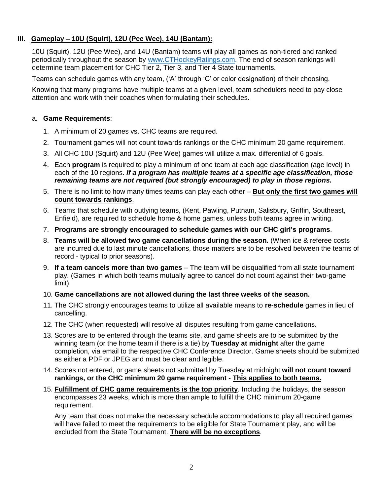# **III. Gameplay – 10U (Squirt), 12U (Pee Wee), 14U (Bantam):**

10U (Squirt), 12U (Pee Wee), and 14U (Bantam) teams will play all games as non-tiered and ranked periodically throughout the season by [www.CTHockeyRatings.com.](http://www.cthockeyratings.com/) The end of season rankings will determine team placement for CHC Tier 2, Tier 3, and Tier 4 State tournaments.

Teams can schedule games with any team, ('A' through 'C' or color designation) of their choosing.

Knowing that many programs have multiple teams at a given level, team schedulers need to pay close attention and work with their coaches when formulating their schedules.

#### a. **Game Requirements**:

- 1. A minimum of 20 games vs. CHC teams are required.
- 2. Tournament games will not count towards rankings or the CHC minimum 20 game requirement.
- 3. All CHC 10U (Squirt) and 12U (Pee Wee) games will utilize a max. differential of 6 goals.
- 4. Each **program** is required to play a minimum of one team at each age classification (age level) in each of the 10 regions. *If a program has multiple teams at a specific age classification, those remaining teams are not required (but strongly encouraged) to play in those regions***.**
- 5. There is no limit to how many times teams can play each other **But only the first two games will count towards rankings**.
- 6. Teams that schedule with outlying teams, (Kent, Pawling, Putnam, Salisbury, Griffin, Southeast, Enfield), are required to schedule home & home games, unless both teams agree in writing.
- 7. **Programs are strongly encouraged to schedule games with our CHC girl's programs**.
- 8. **Teams will be allowed two game cancellations during the season.** (When ice & referee costs are incurred due to last minute cancellations, those matters are to be resolved between the teams of record - typical to prior seasons).
- 9. **If a team cancels more than two games** The team will be disqualified from all state tournament play. (Games in which both teams mutually agree to cancel do not count against their two-game limit).
- 10. **Game cancellations are not allowed during the last three weeks of the season.**
- 11. The CHC strongly encourages teams to utilize all available means to **re-schedule** games in lieu of cancelling.
- 12. The CHC (when requested) will resolve all disputes resulting from game cancellations.
- 13. Scores are to be entered through the teams site, and game sheets are to be submitted by the winning team (or the home team if there is a tie) by **Tuesday at midnight** after the game completion, via email to the respective CHC Conference Director. Game sheets should be submitted as either a PDF or JPEG and must be clear and legible.
- 14. Scores not entered, or game sheets not submitted by Tuesday at midnight **will not count toward rankings, or the CHC minimum 20 game requirement - This applies to both teams.**
- 15. **Fulfillment of CHC game requirements is the top priority**. Including the holidays, the season encompasses 23 weeks, which is more than ample to fulfill the CHC minimum 20-game requirement.

Any team that does not make the necessary schedule accommodations to play all required games will have failed to meet the requirements to be eligible for State Tournament play, and will be excluded from the State Tournament. **There will be no exceptions**.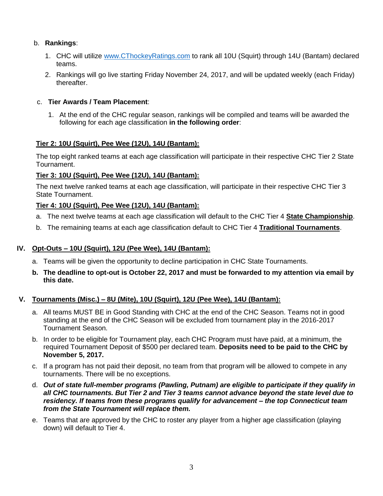# b. **Rankings**:

- 1. CHC will utilize [www.CThockeyRatings.com](http://www.cthockeyratings.com/) to rank all 10U (Squirt) through 14U (Bantam) declared teams.
- 2. Rankings will go live starting Friday November 24, 2017, and will be updated weekly (each Friday) thereafter.

## c. **Tier Awards / Team Placement**:

1. At the end of the CHC regular season, rankings will be compiled and teams will be awarded the following for each age classification **in the following order**:

### **Tier 2: 10U (Squirt), Pee Wee (12U), 14U (Bantam):**

The top eight ranked teams at each age classification will participate in their respective CHC Tier 2 State Tournament.

### **Tier 3: 10U (Squirt), Pee Wee (12U), 14U (Bantam):**

The next twelve ranked teams at each age classification, will participate in their respective CHC Tier 3 State Tournament.

### **Tier 4: 10U (Squirt), Pee Wee (12U), 14U (Bantam):**

- a. The next twelve teams at each age classification will default to the CHC Tier 4 **State Championship**.
- b. The remaining teams at each age classification default to CHC Tier 4 **Traditional Tournaments**.

#### **IV. Opt-Outs – 10U (Squirt), 12U (Pee Wee), 14U (Bantam):**

- a. Teams will be given the opportunity to decline participation in CHC State Tournaments.
- **b. The deadline to opt-out is October 22, 2017 and must be forwarded to my attention via email by this date.**

#### **V. Tournaments (Misc.) – 8U (Mite), 10U (Squirt), 12U (Pee Wee), 14U (Bantam):**

- a. All teams MUST BE in Good Standing with CHC at the end of the CHC Season. Teams not in good standing at the end of the CHC Season will be excluded from tournament play in the 2016-2017 Tournament Season.
- b. In order to be eligible for Tournament play, each CHC Program must have paid, at a minimum, the required Tournament Deposit of \$500 per declared team. **Deposits need to be paid to the CHC by November 5, 2017.**
- c. If a program has not paid their deposit, no team from that program will be allowed to compete in any tournaments. There will be no exceptions.
- d. *Out of state full-member programs (Pawling, Putnam) are eligible to participate if they qualify in all CHC tournaments. But Tier 2 and Tier 3 teams cannot advance beyond the state level due to residency. If teams from these programs qualify for advancement – the top Connecticut team from the State Tournament will replace them.*
- e. Teams that are approved by the CHC to roster any player from a higher age classification (playing down) will default to Tier 4.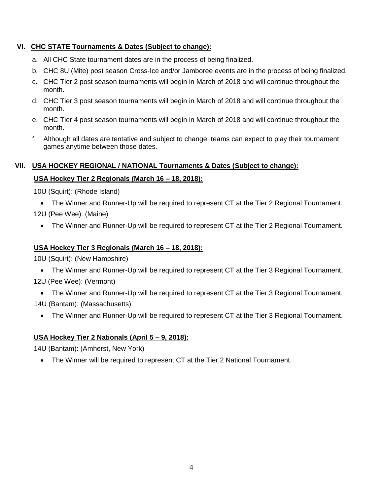## **VI. CHC STATE Tournaments & Dates (Subject to change):**

- a. All CHC State tournament dates are in the process of being finalized.
- b. CHC 8U (Mite) post season Cross-Ice and/or Jamboree events are in the process of being finalized.
- c. CHC Tier 2 post season tournaments will begin in March of 2018 and will continue throughout the month.
- d. CHC Tier 3 post season tournaments will begin in March of 2018 and will continue throughout the month.
- e. CHC Tier 4 post season tournaments will begin in March of 2018 and will continue throughout the month.
- f. Although all dates are tentative and subject to change, teams can expect to play their tournament games anytime between those dates.

#### **VII. USA HOCKEY REGIONAL / NATIONAL Tournaments & Dates (Subject to change):**

# **USA Hockey Tier 2 Regionals (March 16 – 18, 2018):**

10U (Squirt): (Rhode Island)

- The Winner and Runner-Up will be required to represent CT at the Tier 2 Regional Tournament. 12U (Pee Wee): (Maine)
	- The Winner and Runner-Up will be required to represent CT at the Tier 2 Regional Tournament.

## **USA Hockey Tier 3 Regionals (March 16 – 18, 2018):**

10U (Squirt): (New Hampshire)

- The Winner and Runner-Up will be required to represent CT at the Tier 3 Regional Tournament. 12U (Pee Wee): (Vermont)
- The Winner and Runner-Up will be required to represent CT at the Tier 3 Regional Tournament. 14U (Bantam): (Massachusetts)
	- The Winner and Runner-Up will be required to represent CT at the Tier 3 Regional Tournament.

## **USA Hockey Tier 2 Nationals (April 5 – 9, 2018):**

14U (Bantam): (Amherst, New York)

• The Winner will be required to represent CT at the Tier 2 National Tournament.